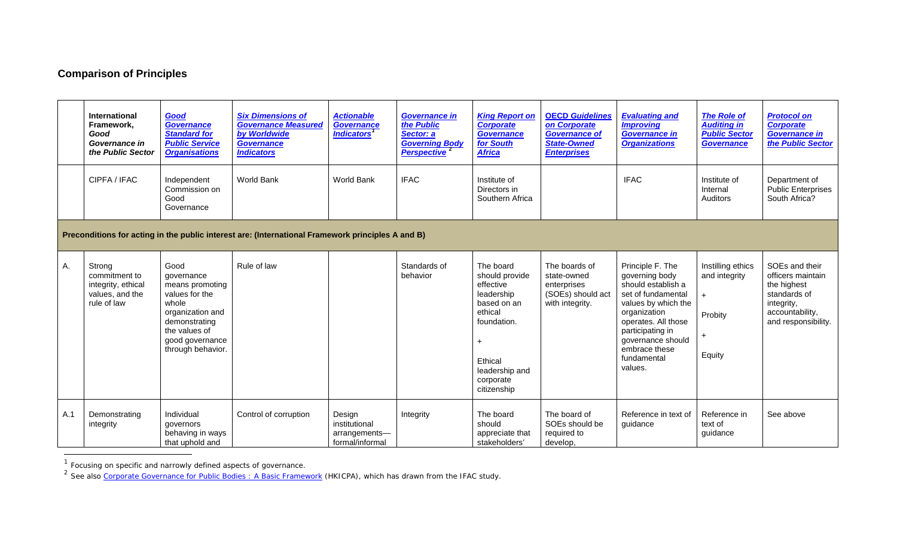## <span id="page-0-1"></span><span id="page-0-0"></span>**Comparison of Principles**

|     | <b>International</b><br>Framework.<br>Good<br>Governance in<br>the Public Sector | Good<br><b>Governance</b><br><b>Standard for</b><br><b>Public Service</b><br><b>Organisations</b>                                                              | <b>Six Dimensions of</b><br><b>Governance Measured</b><br>by Worldwide<br><b>Governance</b><br><b>Indicators</b> | <b>Actionable</b><br><b>Governance</b><br><b>Indicators</b> | <b>Governance in</b><br>the Public<br>Sector: a<br><b>Governing Body</b><br>Perspective <sup>2</sup> | <b>King Report on</b><br><b>Corporate</b><br><b>Governance</b><br>for South<br><b>Africa</b>                                                             | <b>OECD Guidelines</b><br>on Corporate<br><b>Governance of</b><br><b>State-Owned</b><br><b>Enterprises</b> | <b>Evaluating and</b><br><b>Improving</b><br>Governance in<br><b>Organizations</b>                                                                                                                                               | <b>The Role of</b><br><b>Auditing in</b><br><b>Public Sector</b><br><b>Governance</b> | <b>Protocol on</b><br><b>Corporate</b><br><b>Governance in</b><br>the Public Sector                                        |
|-----|----------------------------------------------------------------------------------|----------------------------------------------------------------------------------------------------------------------------------------------------------------|------------------------------------------------------------------------------------------------------------------|-------------------------------------------------------------|------------------------------------------------------------------------------------------------------|----------------------------------------------------------------------------------------------------------------------------------------------------------|------------------------------------------------------------------------------------------------------------|----------------------------------------------------------------------------------------------------------------------------------------------------------------------------------------------------------------------------------|---------------------------------------------------------------------------------------|----------------------------------------------------------------------------------------------------------------------------|
|     | CIPFA / IFAC                                                                     | Independent<br>Commission on<br>Good<br>Governance                                                                                                             | <b>World Bank</b>                                                                                                | World Bank                                                  | <b>IFAC</b>                                                                                          | Institute of<br>Directors in<br>Southern Africa                                                                                                          |                                                                                                            | <b>IFAC</b>                                                                                                                                                                                                                      | Institute of<br>Internal<br><b>Auditors</b>                                           | Department of<br><b>Public Enterprises</b><br>South Africa?                                                                |
|     |                                                                                  |                                                                                                                                                                | Preconditions for acting in the public interest are: (International Framework principles A and B)                |                                                             |                                                                                                      |                                                                                                                                                          |                                                                                                            |                                                                                                                                                                                                                                  |                                                                                       |                                                                                                                            |
| Α.  | Strong<br>commitment to<br>integrity, ethical<br>values, and the<br>rule of law  | Good<br>governance<br>means promoting<br>values for the<br>whole<br>organization and<br>demonstrating<br>the values of<br>good governance<br>through behavior. | Rule of law                                                                                                      |                                                             | Standards of<br>behavior                                                                             | The board<br>should provide<br>effective<br>leadership<br>based on an<br>ethical<br>foundation.<br>Ethical<br>leadership and<br>corporate<br>citizenship | The boards of<br>state-owned<br>enterprises<br>(SOEs) should act<br>with integrity.                        | Principle F. The<br>governing body<br>should establish a<br>set of fundamental<br>values by which the<br>organization<br>operates. All those<br>participating in<br>governance should<br>embrace these<br>fundamental<br>values. | Instilling ethics<br>and integrity<br>Probity<br>Equity                               | SOEs and their<br>officers maintain<br>the highest<br>standards of<br>integrity,<br>accountability,<br>and responsibility. |
| A.1 | Demonstrating<br>integrity                                                       | Individual<br>governors<br>behaving in ways<br>that uphold and                                                                                                 | Control of corruption                                                                                            | Design<br>institutional<br>arrangements-<br>formal/informal | Integrity                                                                                            | The board<br>should<br>appreciate that<br>stakeholders'                                                                                                  | The board of<br>SOEs should be<br>required to<br>develop,                                                  | Reference in text of<br>guidance                                                                                                                                                                                                 | Reference in<br>text of<br>guidance                                                   | See above                                                                                                                  |

 $1$  Focusing on specific and narrowly defined aspects of governance.

i,

<sup>&</sup>lt;sup>2</sup> See also *[Corporate Governance for Public Bodies : A Basic Framework](http://www.hkicpa.org.hk/file/media/section4_cpd/Continuing%20Professinoal%20Development%20Programme%20(CPD)/eframework_guide.pdf)* (HKICPA), which has drawn from the IFAC study.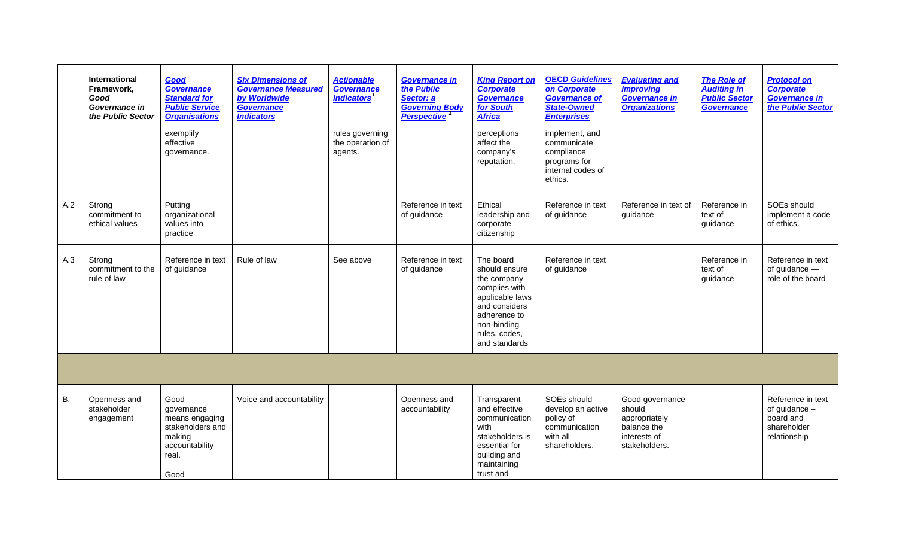|     | <b>International</b><br>Framework.<br>Good<br>Governance in<br>the Public Sector | Good<br>Governance<br><b>Standard for</b><br><b>Public Service</b><br><b>Organisations</b>            | <b>Six Dimensions of</b><br><b>Governance Measured</b><br>by Worldwide<br><b>Governance</b><br><b>Indicators</b> | <b>Actionable</b><br>Governance<br><b>Indicators</b> | <b>Governance in</b><br>the Public<br>Sector: a<br><b>Governing Body</b><br>Perspective <sup>2</sup> | <b>King Report on</b><br><b>Corporate</b><br><b>Governance</b><br>for South<br><b>Africa</b>                                                                    | <b>OECD Guidelines</b><br>on Corporate<br><b>Governance of</b><br><b>State-Owned</b><br><b>Enterprises</b> | <b>Evaluating and</b><br><b>Improving</b><br><b>Governance in</b><br><b>Organizations</b>  | <b>The Role of</b><br><b>Auditing in</b><br><b>Public Sector</b><br><b>Governance</b> | <b>Protocol on</b><br><b>Corporate</b><br><b>Governance in</b><br>the Public Sector |
|-----|----------------------------------------------------------------------------------|-------------------------------------------------------------------------------------------------------|------------------------------------------------------------------------------------------------------------------|------------------------------------------------------|------------------------------------------------------------------------------------------------------|-----------------------------------------------------------------------------------------------------------------------------------------------------------------|------------------------------------------------------------------------------------------------------------|--------------------------------------------------------------------------------------------|---------------------------------------------------------------------------------------|-------------------------------------------------------------------------------------|
|     |                                                                                  | exemplify<br>effective<br>governance.                                                                 |                                                                                                                  | rules governing<br>the operation of<br>agents.       |                                                                                                      | perceptions<br>affect the<br>company's<br>reputation.                                                                                                           | implement, and<br>communicate<br>compliance<br>programs for<br>internal codes of<br>ethics.                |                                                                                            |                                                                                       |                                                                                     |
| A.2 | Strong<br>commitment to<br>ethical values                                        | Putting<br>organizational<br>values into<br>practice                                                  |                                                                                                                  |                                                      | Reference in text<br>of guidance                                                                     | Ethical<br>leadership and<br>corporate<br>citizenship                                                                                                           | Reference in text<br>of guidance                                                                           | Reference in text of<br>guidance                                                           | Reference in<br>text of<br>guidance                                                   | SOEs should<br>implement a code<br>of ethics.                                       |
| A.3 | Strong<br>commitment to the<br>rule of law                                       | Reference in text<br>of guidance                                                                      | Rule of law                                                                                                      | See above                                            | Reference in text<br>of guidance                                                                     | The board<br>should ensure<br>the company<br>complies with<br>applicable laws<br>and considers<br>adherence to<br>non-binding<br>rules, codes,<br>and standards | Reference in text<br>of guidance                                                                           |                                                                                            | Reference in<br>text of<br>guidance                                                   | Reference in text<br>of guidance -<br>role of the board                             |
|     |                                                                                  |                                                                                                       |                                                                                                                  |                                                      |                                                                                                      |                                                                                                                                                                 |                                                                                                            |                                                                                            |                                                                                       |                                                                                     |
| В.  | Openness and<br>stakeholder<br>engagement                                        | Good<br>governance<br>means engaging<br>stakeholders and<br>making<br>accountability<br>real.<br>Good | Voice and accountability                                                                                         |                                                      | Openness and<br>accountability                                                                       | Transparent<br>and effective<br>communication<br>with<br>stakeholders is<br>essential for<br>building and<br>maintaining<br>trust and                           | SOEs should<br>develop an active<br>policy of<br>communication<br>with all<br>shareholders.                | Good governance<br>should<br>appropriately<br>balance the<br>interests of<br>stakeholders. |                                                                                       | Reference in text<br>of guidance $-$<br>board and<br>shareholder<br>relationship    |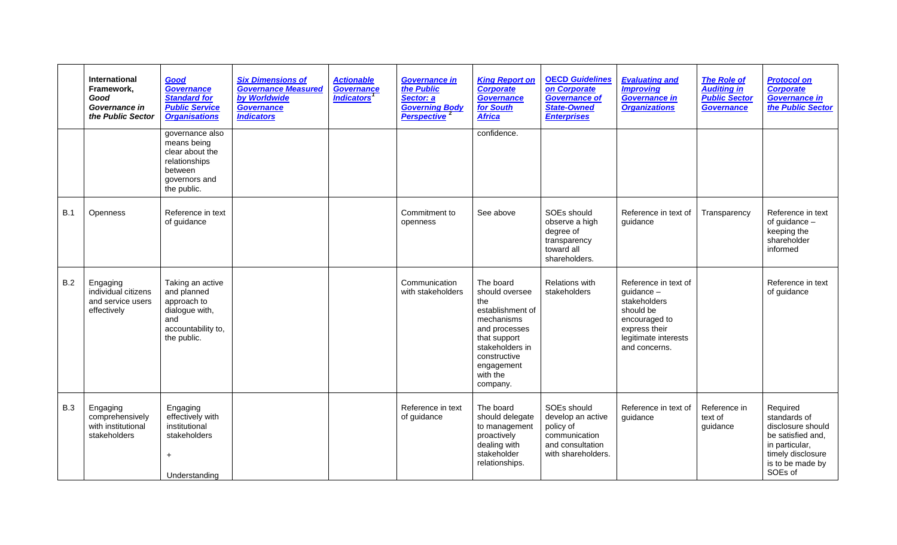|            | <b>International</b><br>Framework,<br>Good<br>Governance in<br>the Public Sector | Good<br>Governance<br><b>Standard for</b><br><b>Public Service</b><br><b>Organisations</b>                    | <b>Six Dimensions of</b><br><b>Governance Measured</b><br>by Worldwide<br>Governance<br><b>Indicators</b> | <b>Actionable</b><br>Governance<br><b>Indicators</b> | <b>Governance in</b><br>the Public<br>Sector: a<br><b>Governing Body</b><br><b>Perspective</b> | <b>King Report on</b><br><b>Corporate</b><br><b>Governance</b><br>for South<br><b>Africa</b>                                                                                   | <b>OECD Guidelines</b><br>on Corporate<br><b>Governance of</b><br>State-Owned<br><b>Enterprises</b>      | <b>Evaluating and</b><br><b>Improving</b><br><b>Governance in</b><br><b>Organizations</b>                                                    | <b>The Role of</b><br><b>Auditing in</b><br><b>Public Sector</b><br><b>Governance</b> | <b>Protocol on</b><br><b>Corporate</b><br><b>Governance in</b><br>the Public Sector                                                      |
|------------|----------------------------------------------------------------------------------|---------------------------------------------------------------------------------------------------------------|-----------------------------------------------------------------------------------------------------------|------------------------------------------------------|------------------------------------------------------------------------------------------------|--------------------------------------------------------------------------------------------------------------------------------------------------------------------------------|----------------------------------------------------------------------------------------------------------|----------------------------------------------------------------------------------------------------------------------------------------------|---------------------------------------------------------------------------------------|------------------------------------------------------------------------------------------------------------------------------------------|
|            |                                                                                  | governance also<br>means being<br>clear about the<br>relationships<br>between<br>governors and<br>the public. |                                                                                                           |                                                      |                                                                                                | confidence.                                                                                                                                                                    |                                                                                                          |                                                                                                                                              |                                                                                       |                                                                                                                                          |
| <b>B.1</b> | Openness                                                                         | Reference in text<br>of guidance                                                                              |                                                                                                           |                                                      | Commitment to<br>openness                                                                      | See above                                                                                                                                                                      | SOEs should<br>observe a high<br>degree of<br>transparency<br>toward all<br>shareholders.                | Reference in text of<br>guidance                                                                                                             | Transparency                                                                          | Reference in text<br>of guidance -<br>keeping the<br>shareholder<br>informed                                                             |
| B.2        | Engaging<br>individual citizens<br>and service users<br>effectively              | Taking an active<br>and planned<br>approach to<br>dialogue with,<br>and<br>accountability to,<br>the public.  |                                                                                                           |                                                      | Communication<br>with stakeholders                                                             | The board<br>should oversee<br>the<br>establishment of<br>mechanisms<br>and processes<br>that support<br>stakeholders in<br>constructive<br>engagement<br>with the<br>company. | <b>Relations with</b><br>stakeholders                                                                    | Reference in text of<br>$quidance -$<br>stakeholders<br>should be<br>encouraged to<br>express their<br>legitimate interests<br>and concerns. |                                                                                       | Reference in text<br>of guidance                                                                                                         |
| <b>B.3</b> | Engaging<br>comprehensively<br>with institutional<br>stakeholders                | Engaging<br>effectively with<br>institutional<br>stakeholders<br>$\ddot{}$<br>Understanding                   |                                                                                                           |                                                      | Reference in text<br>of guidance                                                               | The board<br>should delegate<br>to management<br>proactively<br>dealing with<br>stakeholder<br>relationships.                                                                  | SOEs should<br>develop an active<br>policy of<br>communication<br>and consultation<br>with shareholders. | Reference in text of<br>guidance                                                                                                             | Reference in<br>text of<br>guidance                                                   | Required<br>standards of<br>disclosure should<br>be satisfied and,<br>in particular,<br>timely disclosure<br>is to be made by<br>SOEs of |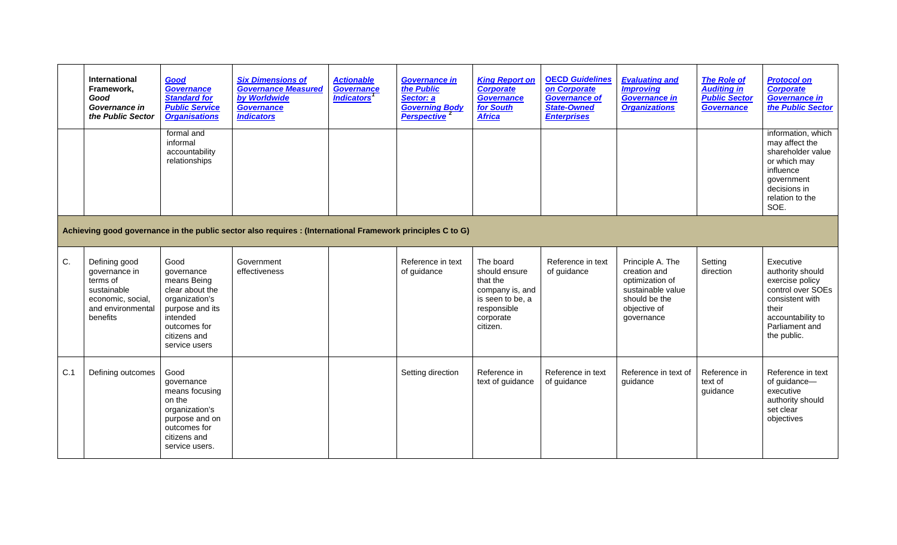|     | International<br>Framework,<br>Good<br>Governance in<br>the Public Sector                                       | Good<br>Governance<br><b>Standard for</b><br><b>Public Service</b><br><b>Organisations</b><br>formal and<br>informal<br>accountability<br>relationships | <b>Six Dimensions of</b><br><b>Governance Measured</b><br>by Worldwide<br><b>Governance</b><br><b>Indicators</b> | <b>Actionable</b><br><b>Governance</b><br><b>Indicators</b> | <b>Governance in</b><br>the Public<br>Sector: a<br><b>Governing Body</b><br>Perspective <sup>2</sup> | <b>King Report on</b><br><b>Corporate</b><br>Governance<br>for South<br><b>Africa</b>                                 | <b>OECD Guidelines</b><br>on Corporate<br><b>Governance of</b><br><b>State-Owned</b><br><b>Enterprises</b> | <b>Evaluating and</b><br><b>Improving</b><br><b>Governance in</b><br><b>Organizations</b>                               | <b>The Role of</b><br><b>Auditing in</b><br><b>Public Sector</b><br><b>Governance</b> | <b>Protocol on</b><br><b>Corporate</b><br><b>Governance in</b><br>the Public Sector<br>information, which<br>may affect the<br>shareholder value<br>or which may<br>influence<br>government<br>decisions in<br>relation to the<br>SOE. |
|-----|-----------------------------------------------------------------------------------------------------------------|---------------------------------------------------------------------------------------------------------------------------------------------------------|------------------------------------------------------------------------------------------------------------------|-------------------------------------------------------------|------------------------------------------------------------------------------------------------------|-----------------------------------------------------------------------------------------------------------------------|------------------------------------------------------------------------------------------------------------|-------------------------------------------------------------------------------------------------------------------------|---------------------------------------------------------------------------------------|----------------------------------------------------------------------------------------------------------------------------------------------------------------------------------------------------------------------------------------|
|     |                                                                                                                 |                                                                                                                                                         | Achieving good governance in the public sector also requires : (International Framework principles C to G)       |                                                             |                                                                                                      |                                                                                                                       |                                                                                                            |                                                                                                                         |                                                                                       |                                                                                                                                                                                                                                        |
| C.  | Defining good<br>governance in<br>terms of<br>sustainable<br>economic, social,<br>and environmental<br>benefits | Good<br>qovernance<br>means Being<br>clear about the<br>organization's<br>purpose and its<br>intended<br>outcomes for<br>citizens and<br>service users  | Government<br>effectiveness                                                                                      |                                                             | Reference in text<br>of guidance                                                                     | The board<br>should ensure<br>that the<br>company is, and<br>is seen to be, a<br>responsible<br>corporate<br>citizen. | Reference in text<br>of guidance                                                                           | Principle A. The<br>creation and<br>optimization of<br>sustainable value<br>should be the<br>objective of<br>governance | Setting<br>direction                                                                  | Executive<br>authority should<br>exercise policy<br>control over SOEs<br>consistent with<br>their<br>accountability to<br>Parliament and<br>the public.                                                                                |
| C.1 | Defining outcomes                                                                                               | Good<br>governance<br>means focusing<br>on the<br>organization's<br>purpose and on<br>outcomes for<br>citizens and<br>service users.                    |                                                                                                                  |                                                             | Setting direction                                                                                    | Reference in<br>text of guidance                                                                                      | Reference in text<br>of guidance                                                                           | Reference in text of<br>guidance                                                                                        | Reference in<br>text of<br>guidance                                                   | Reference in text<br>of guidance-<br>executive<br>authority should<br>set clear<br>objectives                                                                                                                                          |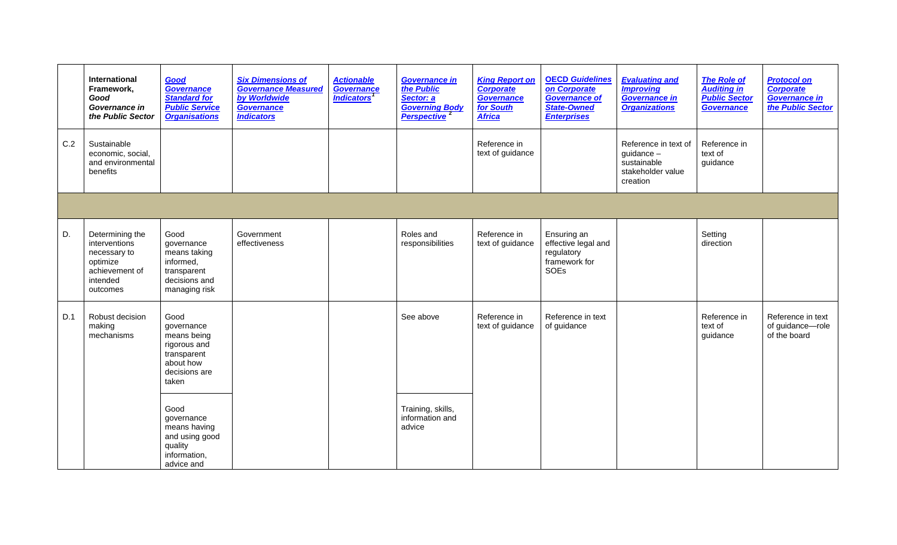|     | International<br>Framework,<br>Good<br>Governance in<br>the Public Sector                              | Good<br><b>Governance</b><br><b>Standard for</b><br><b>Public Service</b><br><b>Organisations</b>       | <b>Six Dimensions of</b><br><b>Governance Measured</b><br>by Worldwide<br><b>Governance</b><br><b>Indicators</b> | <b>Actionable</b><br>Governance<br><b>Indicators</b> | <b>Governance in</b><br>the Public<br>Sector: a<br><b>Governing Body</b><br>Perspective <sup>2</sup> | <b>King Report on</b><br><b>Corporate</b><br>Governance<br><b>for South</b><br><b>Africa</b> | <b>OECD Guidelines</b><br>on Corporate<br><b>Governance of</b><br><b>State-Owned</b><br><b>Enterprises</b> | <b>Evaluating and</b><br><b>Improving</b><br><b>Governance in</b><br><b>Organizations</b> | <b>The Role of</b><br><b>Auditing in</b><br><b>Public Sector</b><br><b>Governance</b> | <b>Protocol on</b><br><b>Corporate</b><br><b>Governance in</b><br>the Public Sector |
|-----|--------------------------------------------------------------------------------------------------------|---------------------------------------------------------------------------------------------------------|------------------------------------------------------------------------------------------------------------------|------------------------------------------------------|------------------------------------------------------------------------------------------------------|----------------------------------------------------------------------------------------------|------------------------------------------------------------------------------------------------------------|-------------------------------------------------------------------------------------------|---------------------------------------------------------------------------------------|-------------------------------------------------------------------------------------|
| C.2 | Sustainable<br>economic, social,<br>and environmental<br>benefits                                      |                                                                                                         |                                                                                                                  |                                                      |                                                                                                      | Reference in<br>text of guidance                                                             |                                                                                                            | Reference in text of<br>guidance $-$<br>sustainable<br>stakeholder value<br>creation      | Reference in<br>text of<br>guidance                                                   |                                                                                     |
|     |                                                                                                        |                                                                                                         |                                                                                                                  |                                                      |                                                                                                      |                                                                                              |                                                                                                            |                                                                                           |                                                                                       |                                                                                     |
| D.  | Determining the<br>interventions<br>necessary to<br>optimize<br>achievement of<br>intended<br>outcomes | Good<br>governance<br>means taking<br>informed,<br>transparent<br>decisions and<br>managing risk        | Government<br>effectiveness                                                                                      |                                                      | Roles and<br>responsibilities                                                                        | Reference in<br>text of guidance                                                             | Ensuring an<br>effective legal and<br>regulatory<br>framework for<br>SOEs                                  |                                                                                           | Setting<br>direction                                                                  |                                                                                     |
| D.1 | Robust decision<br>making<br>mechanisms                                                                | Good<br>governance<br>means being<br>rigorous and<br>transparent<br>about how<br>decisions are<br>taken |                                                                                                                  |                                                      | See above                                                                                            | Reference in<br>text of guidance                                                             | Reference in text<br>of guidance                                                                           |                                                                                           | Reference in<br>text of<br>guidance                                                   | Reference in text<br>of guidance-role<br>of the board                               |
|     |                                                                                                        | Good<br>governance<br>means having<br>and using good<br>quality<br>information,<br>advice and           |                                                                                                                  |                                                      | Training, skills,<br>information and<br>advice                                                       |                                                                                              |                                                                                                            |                                                                                           |                                                                                       |                                                                                     |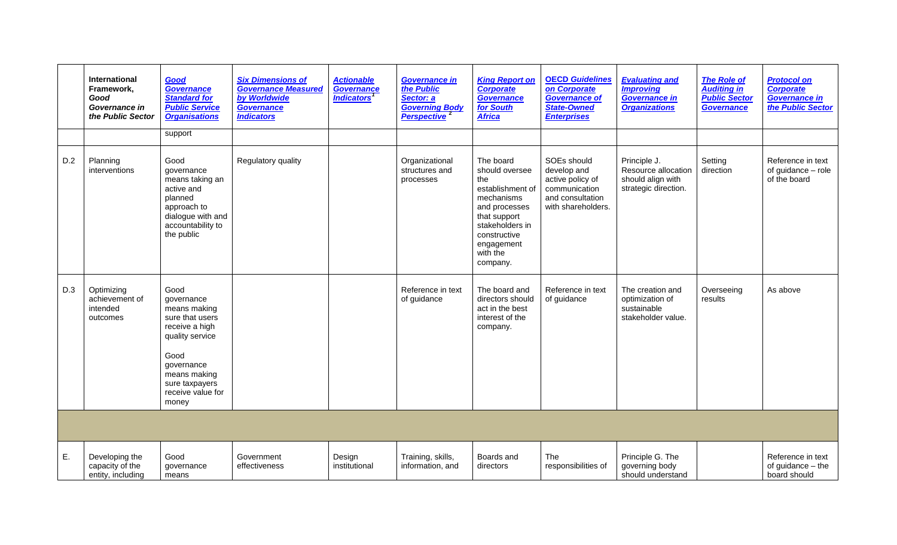|     | <b>International</b><br>Framework.<br>Good<br>Governance in<br>the Public Sector | Good<br>Governance<br><b>Standard for</b><br><b>Public Service</b><br><b>Organisations</b>                                                                                       | <b>Six Dimensions of</b><br><b>Governance Measured</b><br>by Worldwide<br><b>Governance</b><br><b>Indicators</b> | <b>Actionable</b><br><b>Governance</b><br><i><b>Indicators<sup>1</sup></b></i> | <b>Governance in</b><br>the Public<br>Sector: a<br><b>Governing Body</b><br>Perspective <sup>2</sup> | <b>King Report on</b><br><b>Corporate</b><br><b>Governance</b><br>for South<br><b>Africa</b>                                                                                   | <b>OECD Guidelines</b><br>on Corporate<br><b>Governance of</b><br><b>State-Owned</b><br><b>Enterprises</b> | <b>Evaluating and</b><br><b>Improving</b><br><b>Governance in</b><br><b>Organizations</b> | <b>The Role of</b><br><b>Auditing in</b><br><b>Public Sector</b><br><b>Governance</b> | <b>Protocol on</b><br><b>Corporate</b><br><b>Governance in</b><br>the Public Sector |
|-----|----------------------------------------------------------------------------------|----------------------------------------------------------------------------------------------------------------------------------------------------------------------------------|------------------------------------------------------------------------------------------------------------------|--------------------------------------------------------------------------------|------------------------------------------------------------------------------------------------------|--------------------------------------------------------------------------------------------------------------------------------------------------------------------------------|------------------------------------------------------------------------------------------------------------|-------------------------------------------------------------------------------------------|---------------------------------------------------------------------------------------|-------------------------------------------------------------------------------------|
|     |                                                                                  | support                                                                                                                                                                          |                                                                                                                  |                                                                                |                                                                                                      |                                                                                                                                                                                |                                                                                                            |                                                                                           |                                                                                       |                                                                                     |
| D.2 | Planning<br>interventions                                                        | Good<br>governance<br>means taking an<br>active and<br>planned<br>approach to<br>dialogue with and<br>accountability to<br>the public                                            | Regulatory quality                                                                                               |                                                                                | Organizational<br>structures and<br>processes                                                        | The board<br>should oversee<br>the<br>establishment of<br>mechanisms<br>and processes<br>that support<br>stakeholders in<br>constructive<br>engagement<br>with the<br>company. | SOEs should<br>develop and<br>active policy of<br>communication<br>and consultation<br>with shareholders.  | Principle J.<br>Resource allocation<br>should align with<br>strategic direction.          | Setting<br>direction                                                                  | Reference in text<br>of guidance - role<br>of the board                             |
| D.3 | Optimizing<br>achievement of<br>intended<br>outcomes                             | Good<br>governance<br>means making<br>sure that users<br>receive a high<br>quality service<br>Good<br>governance<br>means making<br>sure taxpayers<br>receive value for<br>money |                                                                                                                  |                                                                                | Reference in text<br>of guidance                                                                     | The board and<br>directors should<br>act in the best<br>interest of the<br>company.                                                                                            | Reference in text<br>of guidance                                                                           | The creation and<br>optimization of<br>sustainable<br>stakeholder value.                  | Overseeing<br>results                                                                 | As above                                                                            |
|     |                                                                                  |                                                                                                                                                                                  |                                                                                                                  |                                                                                |                                                                                                      |                                                                                                                                                                                |                                                                                                            |                                                                                           |                                                                                       |                                                                                     |
| Ε.  | Developing the<br>capacity of the<br>entity, including                           | Good<br>governance<br>means                                                                                                                                                      | Government<br>effectiveness                                                                                      | Design<br>institutional                                                        | Training, skills,<br>information, and                                                                | Boards and<br>directors                                                                                                                                                        | The<br>responsibilities of                                                                                 | Principle G. The<br>governing body<br>should understand                                   |                                                                                       | Reference in text<br>of guidance - the<br>board should                              |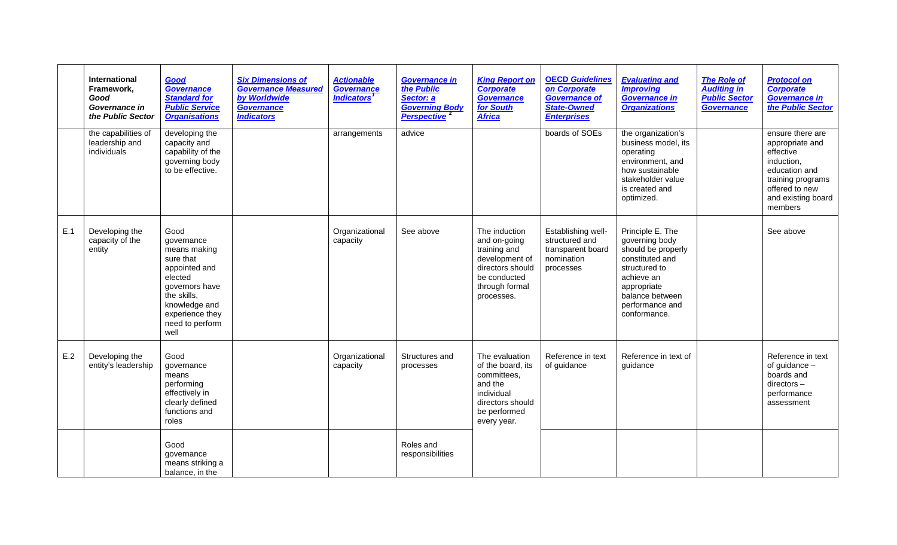|     | <b>International</b><br>Framework,<br>Good<br>Governance in<br>the Public Sector | Good<br>Governance<br><b>Standard for</b><br><b>Public Service</b><br><b>Organisations</b>                                                                                  | <b>Six Dimensions of</b><br><b>Governance Measured</b><br>by Worldwide<br><b>Governance</b><br><b>Indicators</b> | <b>Actionable</b><br><b>Governance</b><br><i><b>Indicators<sup>1</sup></b></i> | <b>Governance in</b><br>the Public<br>Sector: a<br><b>Governing Body</b><br>Perspective <sup>2</sup> | <b>King Report on</b><br>Corporate<br>Governance<br>for South<br><b>Africa</b>                                                      | <b>OECD Guidelines</b><br>on Corporate<br><b>Governance of</b><br><b>State-Owned</b><br><b>Enterprises</b> | <b>Evaluating and</b><br><b>Improving</b><br><b>Governance in</b><br><b>Organizations</b>                                                                                       | <b>The Role of</b><br><b>Auditing in</b><br><b>Public Sector</b><br><b>Governance</b> | <b>Protocol on</b><br><b>Corporate</b><br><b>Governance in</b><br>the Public Sector                                                                     |
|-----|----------------------------------------------------------------------------------|-----------------------------------------------------------------------------------------------------------------------------------------------------------------------------|------------------------------------------------------------------------------------------------------------------|--------------------------------------------------------------------------------|------------------------------------------------------------------------------------------------------|-------------------------------------------------------------------------------------------------------------------------------------|------------------------------------------------------------------------------------------------------------|---------------------------------------------------------------------------------------------------------------------------------------------------------------------------------|---------------------------------------------------------------------------------------|---------------------------------------------------------------------------------------------------------------------------------------------------------|
|     | the capabilities of<br>leadership and<br>individuals                             | developing the<br>capacity and<br>capability of the<br>governing body<br>to be effective.                                                                                   |                                                                                                                  | arrangements                                                                   | advice                                                                                               |                                                                                                                                     | boards of SOEs                                                                                             | the organization's<br>business model, its<br>operating<br>environment, and<br>how sustainable<br>stakeholder value<br>is created and<br>optimized.                              |                                                                                       | ensure there are<br>appropriate and<br>effective<br>induction,<br>education and<br>training programs<br>offered to new<br>and existing board<br>members |
| E.1 | Developing the<br>capacity of the<br>entity                                      | Good<br>qovernance<br>means making<br>sure that<br>appointed and<br>elected<br>governors have<br>the skills,<br>knowledge and<br>experience they<br>need to perform<br>well |                                                                                                                  | Organizational<br>capacity                                                     | See above                                                                                            | The induction<br>and on-going<br>training and<br>development of<br>directors should<br>be conducted<br>through formal<br>processes. | Establishing well-<br>structured and<br>transparent board<br>nomination<br>processes                       | Principle E. The<br>governing body<br>should be properly<br>constituted and<br>structured to<br>achieve an<br>appropriate<br>balance between<br>performance and<br>conformance. |                                                                                       | See above                                                                                                                                               |
| E.2 | Developing the<br>entity's leadership                                            | Good<br>qovernance<br>means<br>performing<br>effectively in<br>clearly defined<br>functions and<br>roles                                                                    |                                                                                                                  | Organizational<br>capacity                                                     | Structures and<br>processes                                                                          | The evaluation<br>of the board, its<br>committees,<br>and the<br>individual<br>directors should<br>be performed<br>every year.      | Reference in text<br>of guidance                                                                           | Reference in text of<br>quidance                                                                                                                                                |                                                                                       | Reference in text<br>of guidance -<br>boards and<br>$directors -$<br>performance<br>assessment                                                          |
|     |                                                                                  | Good<br>qovernance<br>means striking a<br>balance, in the                                                                                                                   |                                                                                                                  |                                                                                | Roles and<br>responsibilities                                                                        |                                                                                                                                     |                                                                                                            |                                                                                                                                                                                 |                                                                                       |                                                                                                                                                         |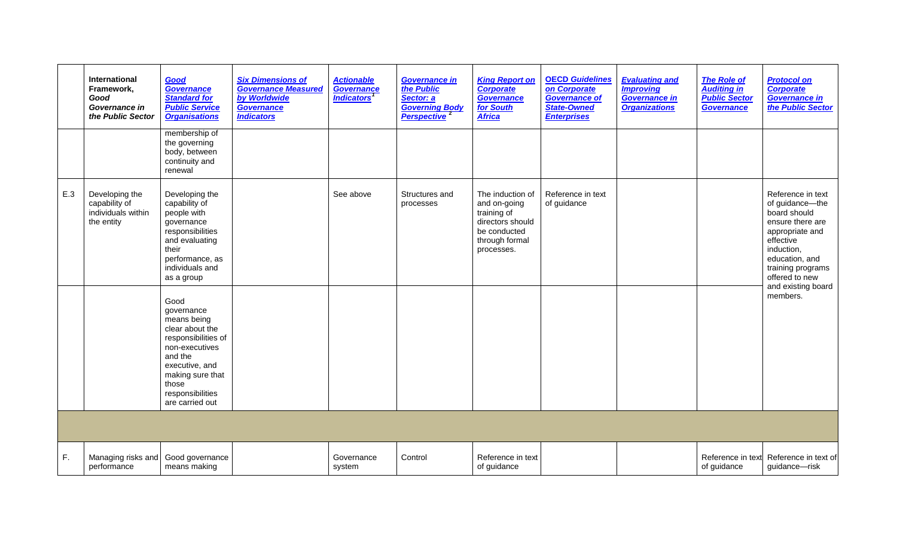|     | International<br>Framework,<br>Good<br>Governance in<br>the Public Sector | Good<br>Governance<br><b>Standard for</b><br><b>Public Service</b><br><b>Organisations</b>                                                                                                     | <b>Six Dimensions of</b><br><b>Governance Measured</b><br>by Worldwide<br>Governance<br><b>Indicators</b> | <b>Actionable</b><br>Governance<br><i><b>Indicators<sup>1</sup></b></i> | <b>Governance in</b><br>the Public<br>Sector: a<br><b>Governing Body</b><br>Perspective <sup>2</sup> | <b>King Report on</b><br><b>Corporate</b><br><b>Governance</b><br>for South<br><b>Africa</b>                        | <b>OECD Guidelines</b><br>on Corporate<br><b>Governance of</b><br><b>State-Owned</b><br><b>Enterprises</b> | <b>Evaluating and</b><br><b>Improving</b><br>Governance in<br><b>Organizations</b> | <b>The Role of</b><br><b>Auditing in</b><br><b>Public Sector</b><br><b>Governance</b> | <b>Protocol on</b><br><b>Corporate</b><br>Governance in<br>the Public Sector                                                                                                    |
|-----|---------------------------------------------------------------------------|------------------------------------------------------------------------------------------------------------------------------------------------------------------------------------------------|-----------------------------------------------------------------------------------------------------------|-------------------------------------------------------------------------|------------------------------------------------------------------------------------------------------|---------------------------------------------------------------------------------------------------------------------|------------------------------------------------------------------------------------------------------------|------------------------------------------------------------------------------------|---------------------------------------------------------------------------------------|---------------------------------------------------------------------------------------------------------------------------------------------------------------------------------|
|     |                                                                           | membership of<br>the governing<br>body, between<br>continuity and<br>renewal                                                                                                                   |                                                                                                           |                                                                         |                                                                                                      |                                                                                                                     |                                                                                                            |                                                                                    |                                                                                       |                                                                                                                                                                                 |
| E.3 | Developing the<br>capability of<br>individuals within<br>the entity       | Developing the<br>capability of<br>people with<br>governance<br>responsibilities<br>and evaluating<br>their<br>performance, as<br>individuals and<br>as a group                                |                                                                                                           | See above                                                               | Structures and<br>processes                                                                          | The induction of<br>and on-going<br>training of<br>directors should<br>be conducted<br>through formal<br>processes. | Reference in text<br>of guidance                                                                           |                                                                                    |                                                                                       | Reference in text<br>of guidance-the<br>board should<br>ensure there are<br>appropriate and<br>effective<br>induction,<br>education, and<br>training programs<br>offered to new |
|     |                                                                           | Good<br>governance<br>means being<br>clear about the<br>responsibilities of<br>non-executives<br>and the<br>executive, and<br>making sure that<br>those<br>responsibilities<br>are carried out |                                                                                                           |                                                                         |                                                                                                      |                                                                                                                     |                                                                                                            |                                                                                    |                                                                                       | and existing board<br>members.                                                                                                                                                  |
|     |                                                                           |                                                                                                                                                                                                |                                                                                                           |                                                                         |                                                                                                      |                                                                                                                     |                                                                                                            |                                                                                    |                                                                                       |                                                                                                                                                                                 |
| F.  | Managing risks and<br>performance                                         | Good governance<br>means making                                                                                                                                                                |                                                                                                           | Governance<br>system                                                    | Control                                                                                              | Reference in text<br>of guidance                                                                                    |                                                                                                            |                                                                                    | Reference in text<br>of guidance                                                      | Reference in text of<br>guidance-risk                                                                                                                                           |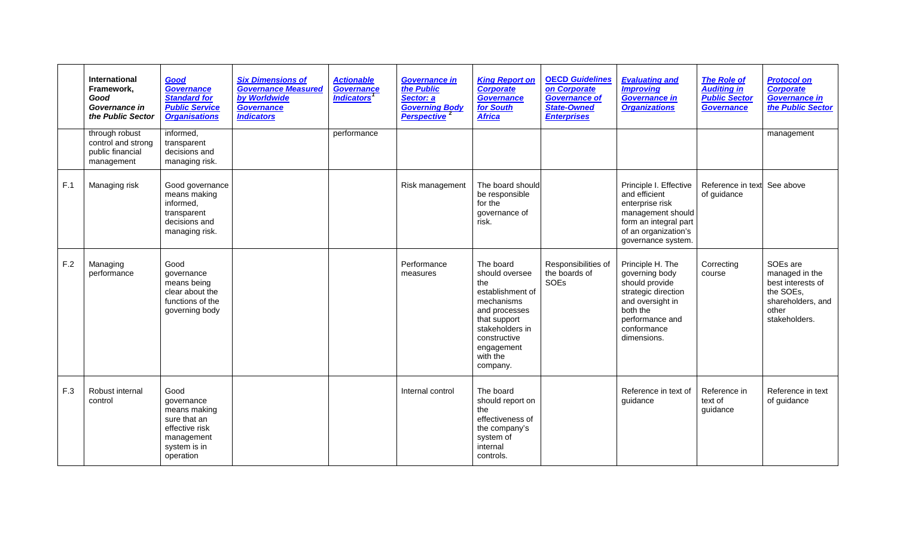|     | International<br>Framework,<br>Good<br>Governance in<br>the Public Sector | Good<br>Governance<br><b>Standard for</b><br><b>Public Service</b><br><b>Organisations</b>                      | <b>Six Dimensions of</b><br><b>Governance Measured</b><br>by Worldwide<br><b>Governance</b><br><b>Indicators</b> | <b>Actionable</b><br>Governance<br><b>Indicators</b> | <b>Governance in</b><br>the Public<br>Sector: a<br><b>Governing Body</b><br>Perspective <sup>2</sup> | <b>King Report on</b><br><b>Corporate</b><br><b>Governance</b><br>for South<br><b>Africa</b>                                                                                   | <b>OECD Guidelines</b><br>on Corporate<br><b>Governance of</b><br><b>State-Owned</b><br><b>Enterprises</b> | <b>Evaluating and</b><br><b>Improving</b><br><b>Governance in</b><br><b>Organizations</b>                                                                    | <b>The Role of</b><br><b>Auditing in</b><br><b>Public Sector</b><br><b>Governance</b> | <b>Protocol on</b><br><b>Corporate</b><br><b>Governance in</b><br>the Public Sector                         |
|-----|---------------------------------------------------------------------------|-----------------------------------------------------------------------------------------------------------------|------------------------------------------------------------------------------------------------------------------|------------------------------------------------------|------------------------------------------------------------------------------------------------------|--------------------------------------------------------------------------------------------------------------------------------------------------------------------------------|------------------------------------------------------------------------------------------------------------|--------------------------------------------------------------------------------------------------------------------------------------------------------------|---------------------------------------------------------------------------------------|-------------------------------------------------------------------------------------------------------------|
|     | through robust<br>control and strong<br>public financial<br>management    | informed,<br>transparent<br>decisions and<br>managing risk.                                                     |                                                                                                                  | performance                                          |                                                                                                      |                                                                                                                                                                                |                                                                                                            |                                                                                                                                                              |                                                                                       | management                                                                                                  |
| F.1 | Managing risk                                                             | Good governance<br>means making<br>informed,<br>transparent<br>decisions and<br>managing risk.                  |                                                                                                                  |                                                      | Risk management                                                                                      | The board should<br>be responsible<br>for the<br>governance of<br>risk.                                                                                                        |                                                                                                            | Principle I. Effective<br>and efficient<br>enterprise risk<br>management should<br>form an integral part<br>of an organization's<br>governance system.       | Reference in text<br>of guidance                                                      | See above                                                                                                   |
| F.2 | Managing<br>performance                                                   | Good<br>qovernance<br>means being<br>clear about the<br>functions of the<br>governing body                      |                                                                                                                  |                                                      | Performance<br>measures                                                                              | The board<br>should oversee<br>the<br>establishment of<br>mechanisms<br>and processes<br>that support<br>stakeholders in<br>constructive<br>engagement<br>with the<br>company. | Responsibilities of<br>the boards of<br>SOEs                                                               | Principle H. The<br>governing body<br>should provide<br>strategic direction<br>and oversight in<br>both the<br>performance and<br>conformance<br>dimensions. | Correcting<br>course                                                                  | SOEs are<br>managed in the<br>best interests of<br>the SOEs,<br>shareholders, and<br>other<br>stakeholders. |
| F.3 | Robust internal<br>control                                                | Good<br>qovernance<br>means making<br>sure that an<br>effective risk<br>management<br>system is in<br>operation |                                                                                                                  |                                                      | Internal control                                                                                     | The board<br>should report on<br>the<br>effectiveness of<br>the company's<br>system of<br>internal<br>controls.                                                                |                                                                                                            | Reference in text of<br>quidance                                                                                                                             | Reference in<br>text of<br>guidance                                                   | Reference in text<br>of guidance                                                                            |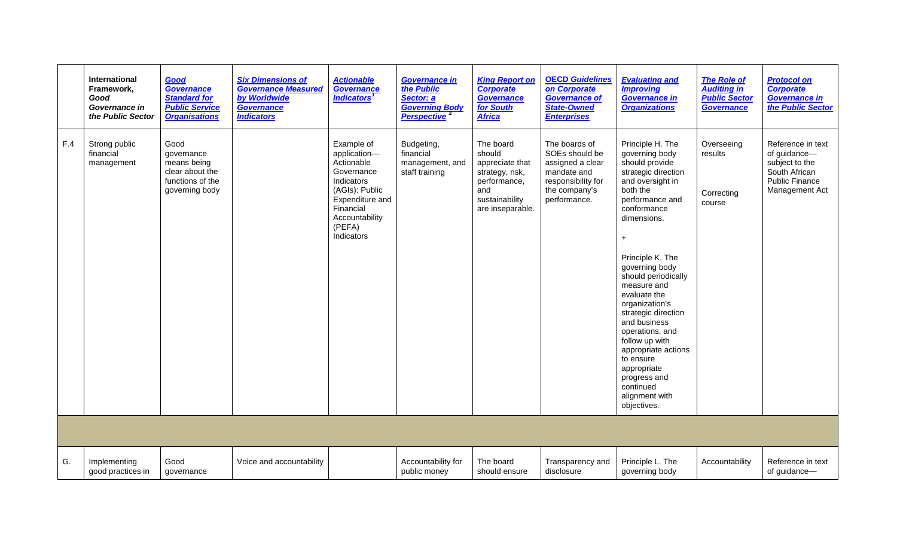|     | <b>International</b><br>Framework,<br>Good<br>Governance in<br>the Public Sector | Good<br><b>Governance</b><br><b>Standard for</b><br><b>Public Service</b><br><b>Organisations</b> | <b>Six Dimensions of</b><br><b>Governance Measured</b><br>by Worldwide<br><b>Governance</b><br><b>Indicators</b> | <b>Actionable</b><br>Governance<br><i><b>Indicators<sup>1</sup></b></i>                                                                                          | <b>Governance in</b><br>the Public<br>Sector: a<br><b>Governing Body</b><br>Perspective <sup>2</sup> | <b>King Report on</b><br><b>Corporate</b><br><b>Governance</b><br>for South<br><b>Africa</b>                           | <b>OECD Guidelines</b><br>on Corporate<br><b>Governance of</b><br><b>State-Owned</b><br><b>Enterprises</b>                | <b>Evaluating and</b><br><b>Improving</b><br><b>Governance in</b><br><b>Organizations</b>                                                                                                                                                                                                                                                                                                                                                                                            | <b>The Role of</b><br><b>Auditing in</b><br><b>Public Sector</b><br>Governance | <b>Protocol on</b><br><b>Corporate</b><br><b>Governance in</b><br>the Public Sector                             |
|-----|----------------------------------------------------------------------------------|---------------------------------------------------------------------------------------------------|------------------------------------------------------------------------------------------------------------------|------------------------------------------------------------------------------------------------------------------------------------------------------------------|------------------------------------------------------------------------------------------------------|------------------------------------------------------------------------------------------------------------------------|---------------------------------------------------------------------------------------------------------------------------|--------------------------------------------------------------------------------------------------------------------------------------------------------------------------------------------------------------------------------------------------------------------------------------------------------------------------------------------------------------------------------------------------------------------------------------------------------------------------------------|--------------------------------------------------------------------------------|-----------------------------------------------------------------------------------------------------------------|
| F.4 | Strong public<br>financial<br>management                                         | Good<br>governance<br>means being<br>clear about the<br>functions of the<br>governing body        |                                                                                                                  | Example of<br>application-<br>Actionable<br>Governance<br>Indicators<br>(AGIs): Public<br>Expenditure and<br>Financial<br>Accountability<br>(PEFA)<br>Indicators | Budgeting,<br>financial<br>management, and<br>staff training                                         | The board<br>should<br>appreciate that<br>strategy, risk,<br>performance,<br>and<br>sustainability<br>are inseparable. | The boards of<br>SOEs should be<br>assigned a clear<br>mandate and<br>responsibility for<br>the company's<br>performance. | Principle H. The<br>governing body<br>should provide<br>strategic direction<br>and oversight in<br>both the<br>performance and<br>conformance<br>dimensions.<br>$\ddot{}$<br>Principle K. The<br>governing body<br>should periodically<br>measure and<br>evaluate the<br>organization's<br>strategic direction<br>and business<br>operations, and<br>follow up with<br>appropriate actions<br>to ensure<br>appropriate<br>progress and<br>continued<br>alignment with<br>objectives. | Overseeing<br>results<br>Correcting<br>course                                  | Reference in text<br>of guidance-<br>subject to the<br>South African<br><b>Public Finance</b><br>Management Act |
|     |                                                                                  |                                                                                                   |                                                                                                                  |                                                                                                                                                                  |                                                                                                      |                                                                                                                        |                                                                                                                           |                                                                                                                                                                                                                                                                                                                                                                                                                                                                                      |                                                                                |                                                                                                                 |
| G.  | Implementing<br>good practices in                                                | Good<br>governance                                                                                | Voice and accountability                                                                                         |                                                                                                                                                                  | Accountability for<br>public money                                                                   | The board<br>should ensure                                                                                             | Transparency and<br>disclosure                                                                                            | Principle L. The<br>governing body                                                                                                                                                                                                                                                                                                                                                                                                                                                   | Accountability                                                                 | Reference in text<br>of guidance-                                                                               |